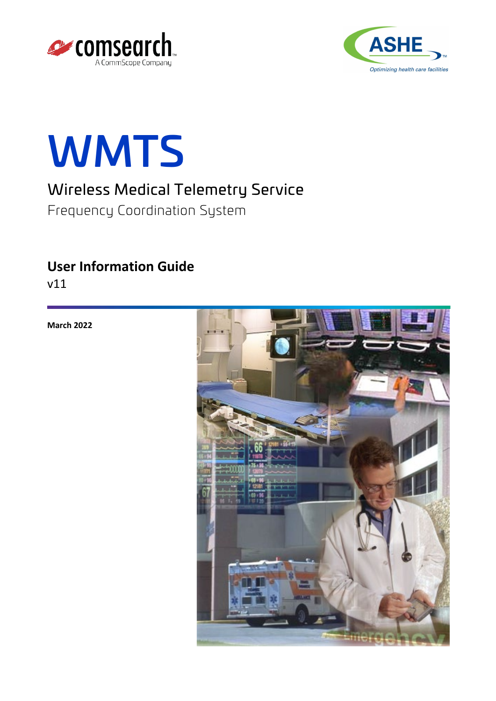





# Wireless Medical Telemetry Service

Frequency Coordination System

## **User Information Guide**

v11

**March 2022**

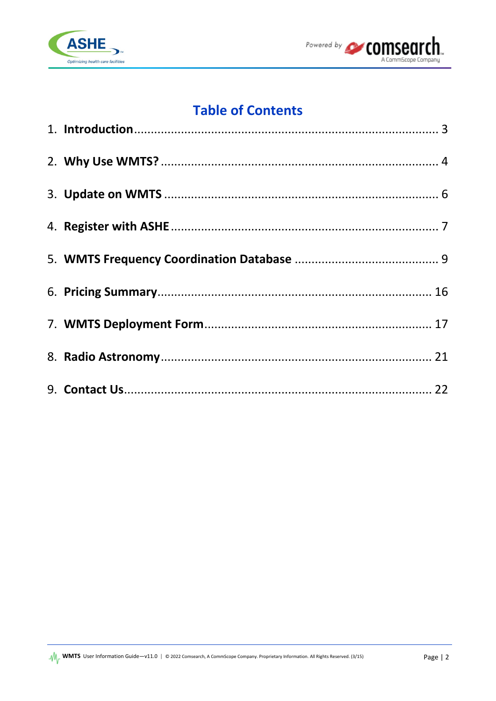



# **Table of Contents**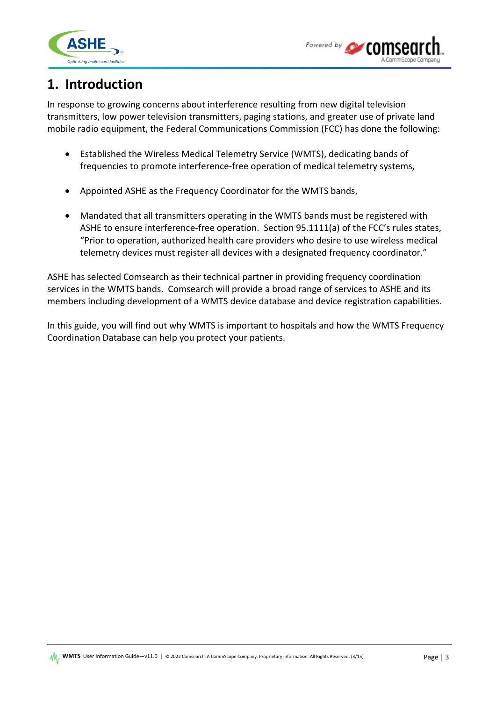



## <span id="page-2-0"></span>**1. Introduction**

In response to growing concerns about interference resulting from new digital television transmitters, low power television transmitters, paging stations, and greater use of private land mobile radio equipment, the Federal Communications Commission (FCC) has done the following:

- Established the Wireless Medical Telemetry Service (WMTS), dedicating bands of frequencies to promote interference-free operation of medical telemetry systems,
- Appointed ASHE as the Frequency Coordinator for the WMTS bands,
- Mandated that all transmitters operating in the WMTS bands must be registered with ASHE to ensure interference-free operation. Section 95.1111(a) of the FCC's rules states, "Prior to operation, authorized health care providers who desire to use wireless medical telemetry devices must register all devices with a designated frequency coordinator."

ASHE has selected Comsearch as their technical partner in providing frequency coordination services in the WMTS bands. Comsearch will provide a broad range of services to ASHE and its members including development of a WMTS device database and device registration capabilities.

In this guide, you will find out why WMTS is important to hospitals and how the WMTS Frequency Coordination Database can help you protect your patients.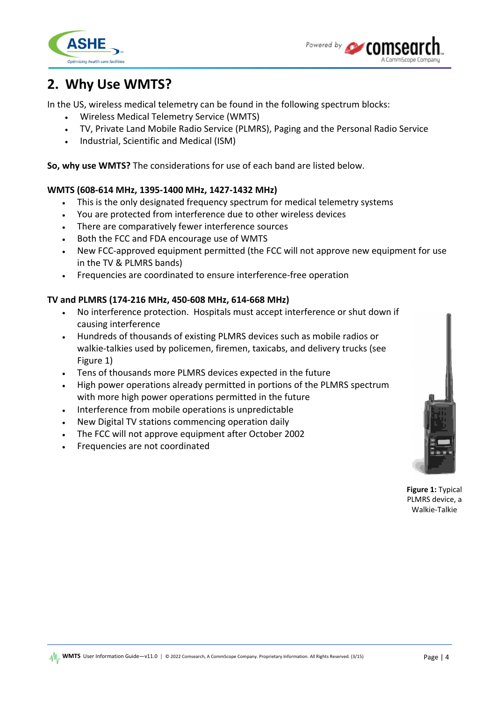



## <span id="page-3-0"></span>**2. Why Use WMTS?**

In the US, wireless medical telemetry can be found in the following spectrum blocks:

- Wireless Medical Telemetry Service (WMTS)
- TV, Private Land Mobile Radio Service (PLMRS), Paging and the Personal Radio Service
- Industrial, Scientific and Medical (ISM)

**So, why use WMTS?** The considerations for use of each band are listed below.

### **WMTS (608-614 MHz, 1395-1400 MHz, 1427-1432 MHz)**

- This is the only designated frequency spectrum for medical telemetry systems
- You are protected from interference due to other wireless devices
- There are comparatively fewer interference sources
- Both the FCC and FDA encourage use of WMTS
- New FCC-approved equipment permitted (the FCC will not approve new equipment for use in the TV & PLMRS bands)
- Frequencies are coordinated to ensure interference-free operation

### **TV and PLMRS (174-216 MHz, 450-608 MHz, 614-668 MHz)**

- No interference protection. Hospitals must accept interference or shut down if causing interference
- Hundreds of thousands of existing PLMRS devices such as mobile radios or walkie-talkies used by policemen, firemen, taxicabs, and delivery trucks (see Figure 1)
- Tens of thousands more PLMRS devices expected in the future
- High power operations already permitted in portions of the PLMRS spectrum with more high power operations permitted in the future
- Interference from mobile operations is unpredictable
- New Digital TV stations commencing operation daily
- The FCC will not approve equipment after October 2002
- Frequencies are not coordinated



**Figure 1:** Typical PLMRS device, a Walkie-Talkie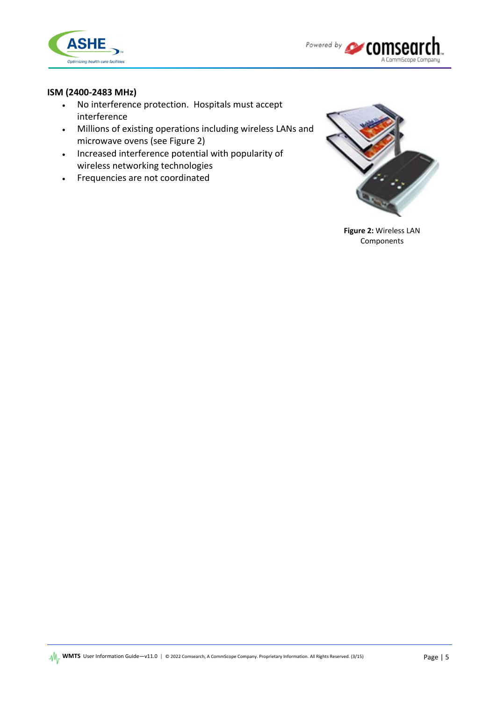



### **ISM (2400-2483 MHz)**

- No interference protection. Hospitals must accept interference
- Millions of existing operations including wireless LANs and microwave ovens (see Figure 2)
- Increased interference potential with popularity of wireless networking technologies
- Frequencies are not coordinated



**Figure 2:** Wireless LAN Components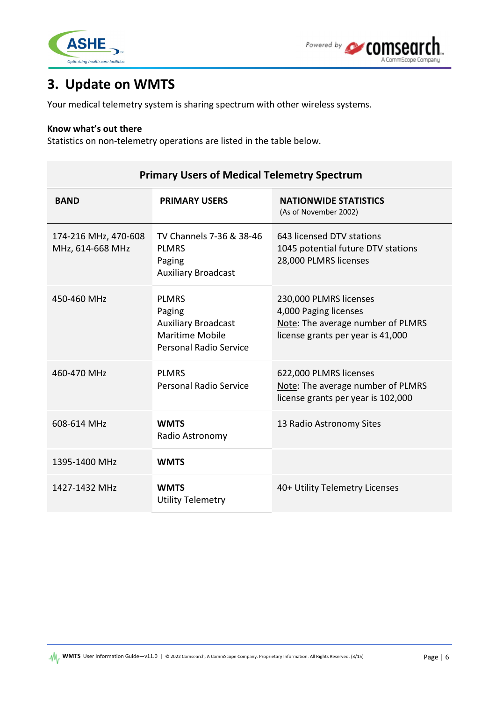



## <span id="page-5-0"></span>**3. Update on WMTS**

Your medical telemetry system is sharing spectrum with other wireless systems.

#### **Know what's out there**

Statistics on non-telemetry operations are listed in the table below.

| <b>BAND</b>                              | <b>PRIMARY USERS</b>                                                                                            | <b>NATIONWIDE STATISTICS</b><br>(As of November 2002)                                                                     |  |
|------------------------------------------|-----------------------------------------------------------------------------------------------------------------|---------------------------------------------------------------------------------------------------------------------------|--|
| 174-216 MHz, 470-608<br>MHz, 614-668 MHz | TV Channels 7-36 & 38-46<br><b>PLMRS</b><br>Paging<br><b>Auxiliary Broadcast</b>                                | 643 licensed DTV stations<br>1045 potential future DTV stations<br>28,000 PLMRS licenses                                  |  |
| 450-460 MHz                              | <b>PLMRS</b><br>Paging<br><b>Auxiliary Broadcast</b><br><b>Maritime Mobile</b><br><b>Personal Radio Service</b> | 230,000 PLMRS licenses<br>4,000 Paging licenses<br>Note: The average number of PLMRS<br>license grants per year is 41,000 |  |
| 460-470 MHz                              | <b>PLMRS</b><br><b>Personal Radio Service</b>                                                                   | 622,000 PLMRS licenses<br>Note: The average number of PLMRS<br>license grants per year is 102,000                         |  |
| 608-614 MHz                              | <b>WMTS</b><br>Radio Astronomy                                                                                  | 13 Radio Astronomy Sites                                                                                                  |  |
| 1395-1400 MHz                            | <b>WMTS</b>                                                                                                     |                                                                                                                           |  |
| 1427-1432 MHz                            | <b>WMTS</b><br><b>Utility Telemetry</b>                                                                         | 40+ Utility Telemetry Licenses                                                                                            |  |

### **Primary Users of Medical Telemetry Spectrum**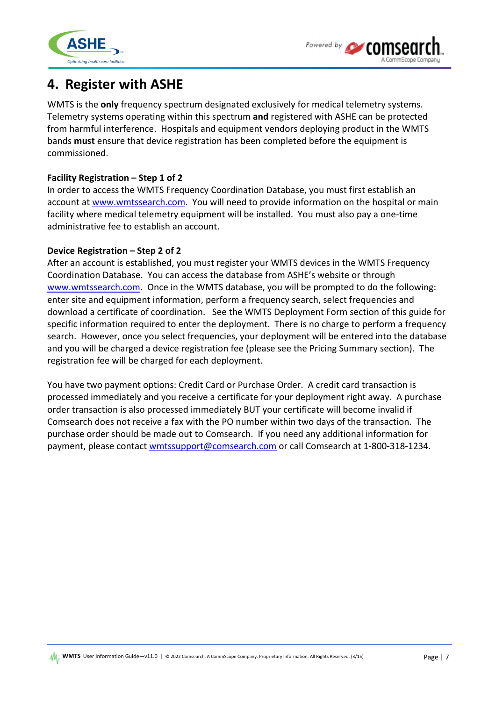



## <span id="page-6-0"></span>**4. Register with ASHE**

WMTS is the **only** frequency spectrum designated exclusively for medical telemetry systems. Telemetry systems operating within this spectrum **and** registered with ASHE can be protected from harmful interference. Hospitals and equipment vendors deploying product in the WMTS bands **must** ensure that device registration has been completed before the equipment is commissioned.

### **Facility Registration – Step 1 of 2**

In order to access the WMTS Frequency Coordination Database, you must first establish an account a[t www.wmtssearch.com.](https://www.wmtssearch.com/) You will need to provide information on the hospital or main facility where medical telemetry equipment will be installed. You must also pay a one-time administrative fee to establish an account.

### **Device Registration – Step 2 of 2**

After an account is established, you must register your WMTS devices in the WMTS Frequency Coordination Database. You can access the database from ASHE's website or through [www.wmtssearch.com.](https://www.wmtssearch.com/) Once in the WMTS database, you will be prompted to do the following: enter site and equipment information, perform a frequency search, select frequencies and download a certificate of coordination. See the WMTS Deployment Form section of this guide for specific information required to enter the deployment. There is no charge to perform a frequency search. However, once you select frequencies, your deployment will be entered into the database and you will be charged a device registration fee (please see the Pricing Summary section). The registration fee will be charged for each deployment.

You have two payment options: Credit Card or Purchase Order. A credit card transaction is processed immediately and you receive a certificate for your deployment right away. A purchase order transaction is also processed immediately BUT your certificate will become invalid if Comsearch does not receive a fax with the PO number within two days of the transaction. The purchase order should be made out to Comsearch. If you need any additional information for payment, please contact [wmtssupport@comsearch.com](mailto:wmtssupport@comsearch.com?subject=WMTS%20Registration%20Help) or call Comsearch at 1-800-318-1234.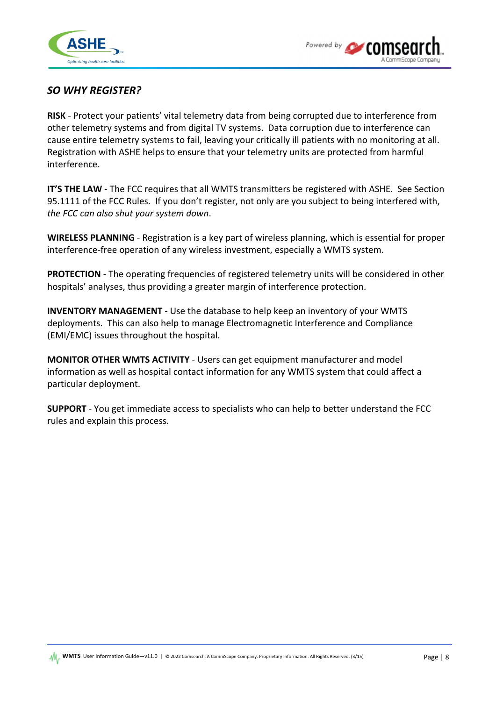



### *SO WHY REGISTER?*

**RISK** - Protect your patients' vital telemetry data from being corrupted due to interference from other telemetry systems and from digital TV systems. Data corruption due to interference can cause entire telemetry systems to fail, leaving your critically ill patients with no monitoring at all. Registration with ASHE helps to ensure that your telemetry units are protected from harmful interference.

**IT'S THE LAW** - The FCC requires that all WMTS transmitters be registered with ASHE. See Section 95.1111 of the FCC Rules. If you don't register, not only are you subject to being interfered with, *the FCC can also shut your system down*.

**WIRELESS PLANNING** - Registration is a key part of wireless planning, which is essential for proper interference-free operation of any wireless investment, especially a WMTS system.

**PROTECTION** - The operating frequencies of registered telemetry units will be considered in other hospitals' analyses, thus providing a greater margin of interference protection.

**INVENTORY MANAGEMENT** - Use the database to help keep an inventory of your WMTS deployments. This can also help to manage Electromagnetic Interference and Compliance (EMI/EMC) issues throughout the hospital.

**MONITOR OTHER WMTS ACTIVITY** - Users can get equipment manufacturer and model information as well as hospital contact information for any WMTS system that could affect a particular deployment.

**SUPPORT** - You get immediate access to specialists who can help to better understand the FCC rules and explain this process.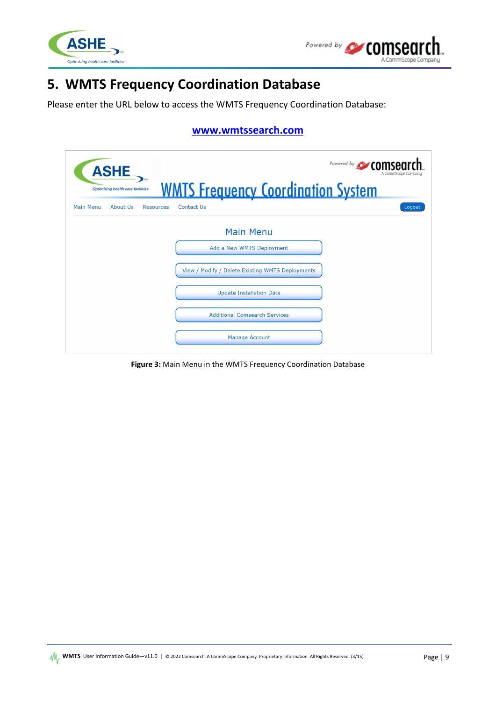



## <span id="page-8-0"></span>**5. WMTS Frequency Coordination Database**

Please enter the URL below to access the WMTS Frequency Coordination Database:

### **[www.wmtssearch.com](https://www.wmtssearch.com/wmts/controller)**

|           | <b>ASHE</b><br>Optimizing health care facilities |                  | <b>WMTS Frequency Coordination System</b>        | Powered by <b>CALCOMCA</b><br>A CommScope Company |
|-----------|--------------------------------------------------|------------------|--------------------------------------------------|---------------------------------------------------|
| Main Menu | About Us                                         | <b>Resources</b> | Contact Us                                       | Logout                                            |
|           |                                                  |                  | <b>Main Menu</b>                                 |                                                   |
|           |                                                  |                  | Add a New WMTS Deployment                        |                                                   |
|           |                                                  |                  | View / Modify / Delete Existing WMTS Deployments |                                                   |
|           |                                                  |                  | <b>Update Installation Date</b>                  |                                                   |
|           |                                                  |                  | <b>Additional Comsearch Services</b>             |                                                   |
|           |                                                  |                  | <b>Manage Account</b>                            |                                                   |

**Figure 3:** Main Menu in the WMTS Frequency Coordination Database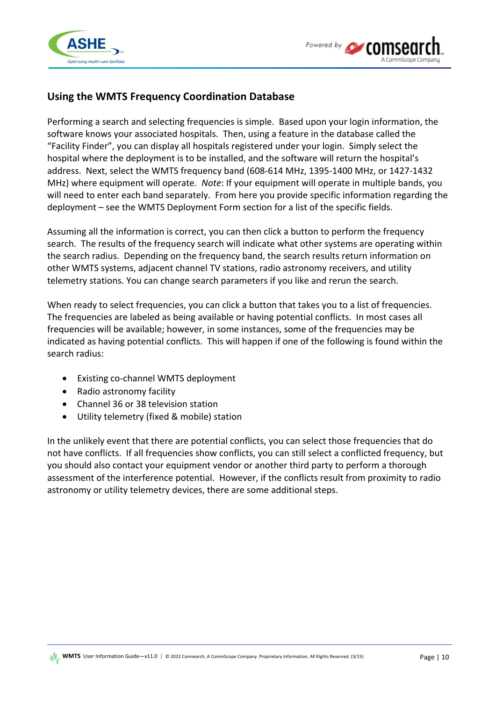



## **Using the WMTS Frequency Coordination Database**

Performing a search and selecting frequencies is simple. Based upon your login information, the software knows your associated hospitals. Then, using a feature in the database called the "Facility Finder", you can display all hospitals registered under your login. Simply select the hospital where the deployment is to be installed, and the software will return the hospital's address. Next, select the WMTS frequency band (608-614 MHz, 1395-1400 MHz, or 1427-1432 MHz) where equipment will operate. *Note*: If your equipment will operate in multiple bands, you will need to enter each band separately. From here you provide specific information regarding the deployment – see the WMTS Deployment Form section for a list of the specific fields.

Assuming all the information is correct, you can then click a button to perform the frequency search. The results of the frequency search will indicate what other systems are operating within the search radius. Depending on the frequency band, the search results return information on other WMTS systems, adjacent channel TV stations, radio astronomy receivers, and utility telemetry stations. You can change search parameters if you like and rerun the search.

When ready to select frequencies, you can click a button that takes you to a list of frequencies. The frequencies are labeled as being available or having potential conflicts. In most cases all frequencies will be available; however, in some instances, some of the frequencies may be indicated as having potential conflicts. This will happen if one of the following is found within the search radius:

- Existing co-channel WMTS deployment
- Radio astronomy facility
- Channel 36 or 38 television station
- Utility telemetry (fixed & mobile) station

In the unlikely event that there are potential conflicts, you can select those frequencies that do not have conflicts. If all frequencies show conflicts, you can still select a conflicted frequency, but you should also contact your equipment vendor or another third party to perform a thorough assessment of the interference potential. However, if the conflicts result from proximity to radio astronomy or utility telemetry devices, there are some additional steps.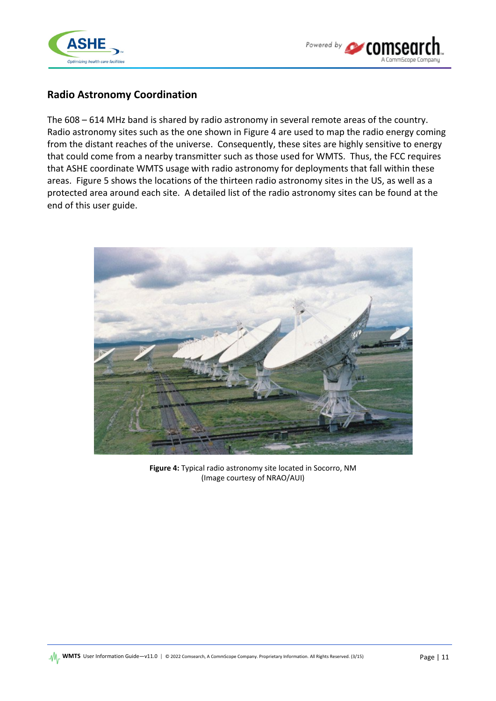



### **Radio Astronomy Coordination**

The 608 – 614 MHz band is shared by radio astronomy in several remote areas of the country. Radio astronomy sites such as the one shown in Figure 4 are used to map the radio energy coming from the distant reaches of the universe. Consequently, these sites are highly sensitive to energy that could come from a nearby transmitter such as those used for WMTS. Thus, the FCC requires that ASHE coordinate WMTS usage with radio astronomy for deployments that fall within these areas. Figure 5 shows the locations of the thirteen radio astronomy sites in the US, as well as a protected area around each site. A detailed list of the radio astronomy sites can be found at the end of this user guide.



**Figure 4:** Typical radio astronomy site located in Socorro, NM (Image courtesy of NRAO/AUI)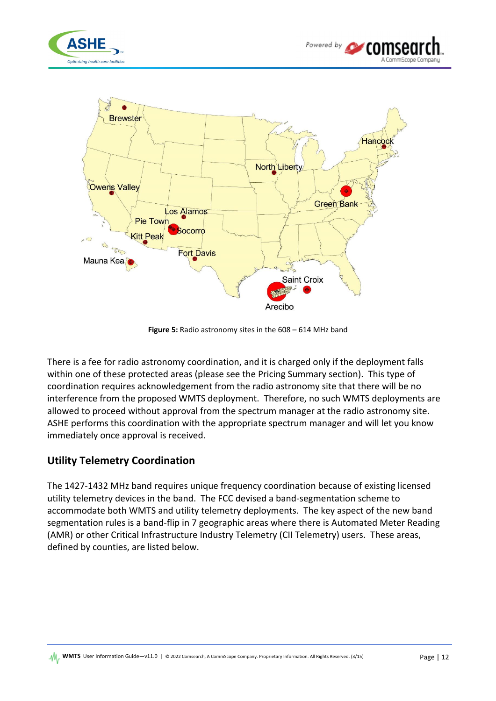



**Figure 5:** Radio astronomy sites in the 608 – 614 MHz band

There is a fee for radio astronomy coordination, and it is charged only if the deployment falls within one of these protected areas (please see the Pricing Summary section). This type of coordination requires acknowledgement from the radio astronomy site that there will be no interference from the proposed WMTS deployment. Therefore, no such WMTS deployments are allowed to proceed without approval from the spectrum manager at the radio astronomy site. ASHE performs this coordination with the appropriate spectrum manager and will let you know immediately once approval is received.

### **Utility Telemetry Coordination**

The 1427-1432 MHz band requires unique frequency coordination because of existing licensed utility telemetry devices in the band. The FCC devised a band-segmentation scheme to accommodate both WMTS and utility telemetry deployments. The key aspect of the new band segmentation rules is a band-flip in 7 geographic areas where there is Automated Meter Reading (AMR) or other Critical Infrastructure Industry Telemetry (CII Telemetry) users. These areas, defined by counties, are listed below.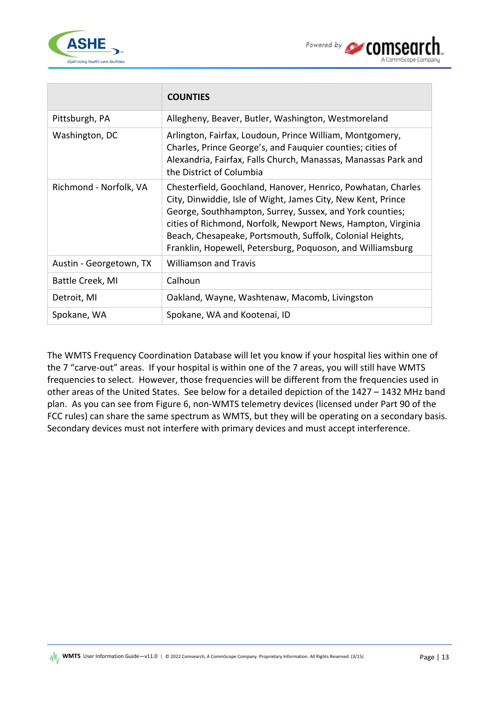

|                         | <b>COUNTIES</b>                                                                                                                                                                                                                                                                                                                                                                     |
|-------------------------|-------------------------------------------------------------------------------------------------------------------------------------------------------------------------------------------------------------------------------------------------------------------------------------------------------------------------------------------------------------------------------------|
| Pittsburgh, PA          | Allegheny, Beaver, Butler, Washington, Westmoreland                                                                                                                                                                                                                                                                                                                                 |
| Washington, DC          | Arlington, Fairfax, Loudoun, Prince William, Montgomery,<br>Charles, Prince George's, and Fauquier counties; cities of<br>Alexandria, Fairfax, Falls Church, Manassas, Manassas Park and<br>the District of Columbia                                                                                                                                                                |
| Richmond - Norfolk, VA  | Chesterfield, Goochland, Hanover, Henrico, Powhatan, Charles<br>City, Dinwiddie, Isle of Wight, James City, New Kent, Prince<br>George, Southhampton, Surrey, Sussex, and York counties;<br>cities of Richmond, Norfolk, Newport News, Hampton, Virginia<br>Beach, Chesapeake, Portsmouth, Suffolk, Colonial Heights,<br>Franklin, Hopewell, Petersburg, Poquoson, and Williamsburg |
| Austin - Georgetown, TX | <b>Williamson and Travis</b>                                                                                                                                                                                                                                                                                                                                                        |
| Battle Creek, MI        | Calhoun                                                                                                                                                                                                                                                                                                                                                                             |
| Detroit, MI             | Oakland, Wayne, Washtenaw, Macomb, Livingston                                                                                                                                                                                                                                                                                                                                       |
| Spokane, WA             | Spokane, WA and Kootenai, ID                                                                                                                                                                                                                                                                                                                                                        |

The WMTS Frequency Coordination Database will let you know if your hospital lies within one of the 7 "carve-out" areas. If your hospital is within one of the 7 areas, you will still have WMTS frequencies to select. However, those frequencies will be different from the frequencies used in other areas of the United States. See below for a detailed depiction of the 1427 – 1432 MHz band plan. As you can see from Figure 6, non-WMTS telemetry devices (licensed under Part 90 of the FCC rules) can share the same spectrum as WMTS, but they will be operating on a secondary basis. Secondary devices must not interfere with primary devices and must accept interference.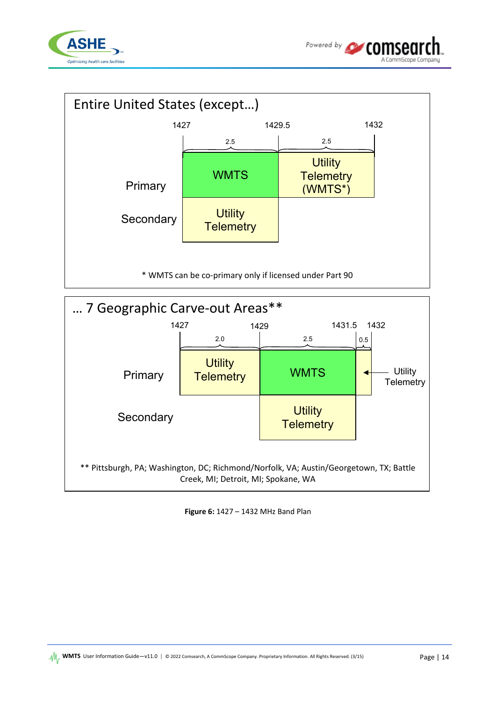





**Figure 6:** 1427 – 1432 MHz Band Plan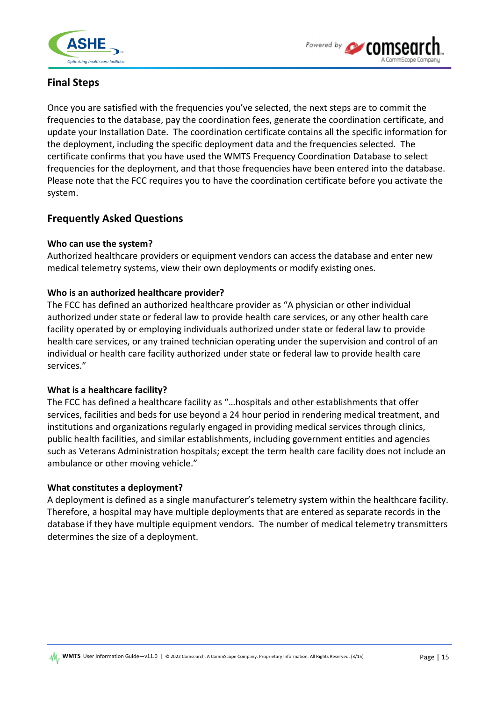



## **Final Steps**

Once you are satisfied with the frequencies you've selected, the next steps are to commit the frequencies to the database, pay the coordination fees, generate the coordination certificate, and update your Installation Date. The coordination certificate contains all the specific information for the deployment, including the specific deployment data and the frequencies selected. The certificate confirms that you have used the WMTS Frequency Coordination Database to select frequencies for the deployment, and that those frequencies have been entered into the database. Please note that the FCC requires you to have the coordination certificate before you activate the system.

### **Frequently Asked Questions**

### **Who can use the system?**

Authorized healthcare providers or equipment vendors can access the database and enter new medical telemetry systems, view their own deployments or modify existing ones.

### **Who is an authorized healthcare provider?**

The FCC has defined an authorized healthcare provider as "A physician or other individual authorized under state or federal law to provide health care services, or any other health care facility operated by or employing individuals authorized under state or federal law to provide health care services, or any trained technician operating under the supervision and control of an individual or health care facility authorized under state or federal law to provide health care services."

### **What is a healthcare facility?**

The FCC has defined a healthcare facility as "…hospitals and other establishments that offer services, facilities and beds for use beyond a 24 hour period in rendering medical treatment, and institutions and organizations regularly engaged in providing medical services through clinics, public health facilities, and similar establishments, including government entities and agencies such as Veterans Administration hospitals; except the term health care facility does not include an ambulance or other moving vehicle."

### **What constitutes a deployment?**

A deployment is defined as a single manufacturer's telemetry system within the healthcare facility. Therefore, a hospital may have multiple deployments that are entered as separate records in the database if they have multiple equipment vendors. The number of medical telemetry transmitters determines the size of a deployment.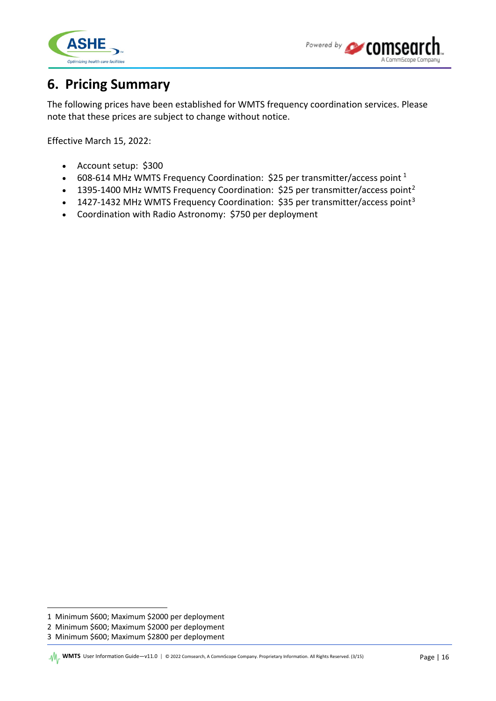



## <span id="page-15-0"></span>**6. Pricing Summary**

The following prices have been established for WMTS frequency coordination services. Please note that these prices are subject to change without notice.

Effective March 15, 2022:

- Account setup: \$300
- 608-6[1](#page-15-1)4 MHz WMTS Frequency Coordination: \$25 per transmitter/access point  $1$
- 1395-1400 MHz WMTS Frequency Coordination: \$[2](#page-15-2)5 per transmitter/access point<sup>2</sup>
- 1427-14[3](#page-15-3)2 MHz WMTS Frequency Coordination: \$35 per transmitter/access point<sup>3</sup>
- Coordination with Radio Astronomy: \$750 per deployment

<span id="page-15-1"></span><sup>1</sup> Minimum \$600; Maximum \$2000 per deployment

<span id="page-15-2"></span><sup>2</sup> Minimum \$600; Maximum \$2000 per deployment

<span id="page-15-3"></span><sup>3</sup> Minimum \$600; Maximum \$2800 per deployment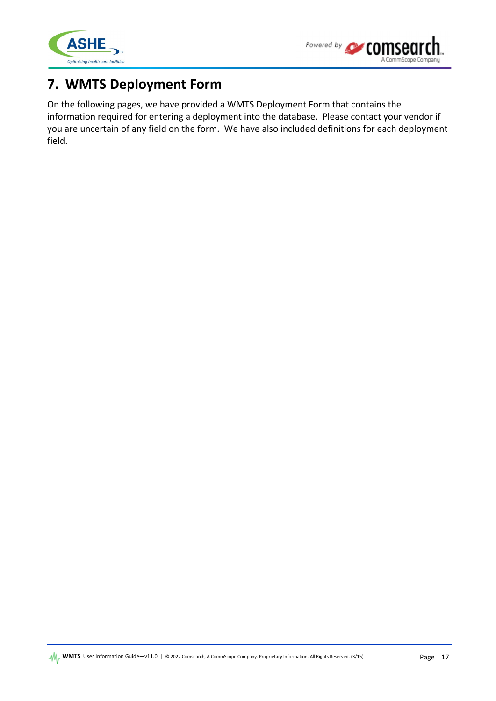



## <span id="page-16-0"></span>**7. WMTS Deployment Form**

On the following pages, we have provided a WMTS Deployment Form that contains the information required for entering a deployment into the database. Please contact your vendor if you are uncertain of any field on the form. We have also included definitions for each deployment field.

**WMTS** User Information Guide—v11.0 | © 2022 Comsearch, A CommScope Company. Proprietary Information. All Rights Reserved. (3/15) Page | 17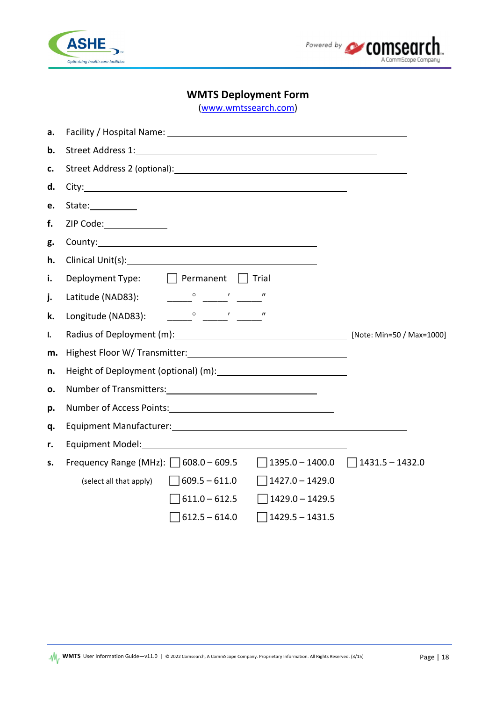



### **WMTS Deployment Form**

[\(www.wmtssearch.com\)](https://www.wmtssearch.com/)

| а. |                                                                                           |  |  |
|----|-------------------------------------------------------------------------------------------|--|--|
| b. |                                                                                           |  |  |
| c. |                                                                                           |  |  |
| d. |                                                                                           |  |  |
| e. | State:____________                                                                        |  |  |
| f. | ZIP Code:______________                                                                   |  |  |
| g. |                                                                                           |  |  |
| h. |                                                                                           |  |  |
| i. | Deployment Type: $\Box$ Permanent $\Box$ Trial                                            |  |  |
| j. |                                                                                           |  |  |
| k. |                                                                                           |  |  |
| I. | Radius of Deployment (m): Max-1000] [Note: Min=50 / Max=1000]                             |  |  |
| m. |                                                                                           |  |  |
| n. |                                                                                           |  |  |
| ο. |                                                                                           |  |  |
| p. |                                                                                           |  |  |
| q. |                                                                                           |  |  |
| r. |                                                                                           |  |  |
| s. | Frequency Range (MHz): $\Box$ 608.0 - 609.5 $\Box$ 1395.0 - 1400.0 $\Box$ 1431.5 - 1432.0 |  |  |
|    | (select all that apply) $609.5 - 611.0$<br>$\Box$ 1427.0 - 1429.0                         |  |  |
|    | $\Box$ 611.0 – 612.5<br>$\Box$ 1429.0 – 1429.5                                            |  |  |
|    | $\Box$ 612.5 – 614.0<br>$1429.5 - 1431.5$                                                 |  |  |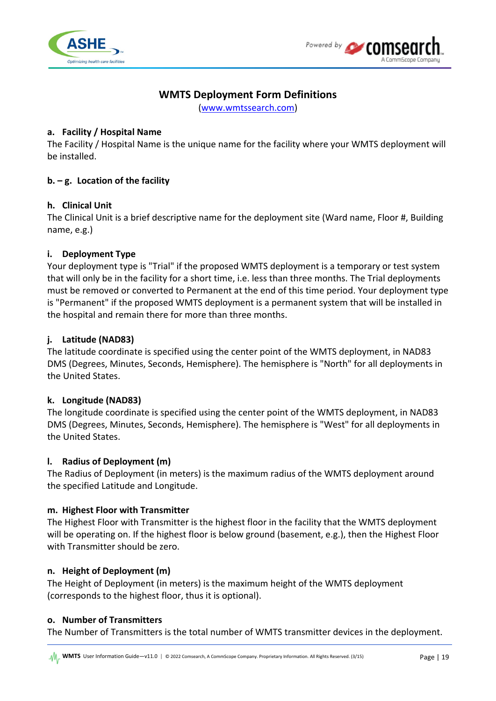



## **WMTS Deployment Form Definitions**

[\(www.wmtssearch.com\)](https://www.wmtssearch.com/)

### **a. Facility / Hospital Name**

The Facility / Hospital Name is the unique name for the facility where your WMTS deployment will be installed.

### **b. – g. Location of the facility**

### **h. Clinical Unit**

The Clinical Unit is a brief descriptive name for the deployment site (Ward name, Floor #, Building name, e.g.)

### **i. Deployment Type**

Your deployment type is "Trial" if the proposed WMTS deployment is a temporary or test system that will only be in the facility for a short time, i.e. less than three months. The Trial deployments must be removed or converted to Permanent at the end of this time period. Your deployment type is "Permanent" if the proposed WMTS deployment is a permanent system that will be installed in the hospital and remain there for more than three months.

### **j. Latitude (NAD83)**

The latitude coordinate is specified using the center point of the WMTS deployment, in NAD83 DMS (Degrees, Minutes, Seconds, Hemisphere). The hemisphere is "North" for all deployments in the United States.

#### **k. Longitude (NAD83)**

The longitude coordinate is specified using the center point of the WMTS deployment, in NAD83 DMS (Degrees, Minutes, Seconds, Hemisphere). The hemisphere is "West" for all deployments in the United States.

#### **l. Radius of Deployment (m)**

The Radius of Deployment (in meters) is the maximum radius of the WMTS deployment around the specified Latitude and Longitude.

#### **m. Highest Floor with Transmitter**

The Highest Floor with Transmitter is the highest floor in the facility that the WMTS deployment will be operating on. If the highest floor is below ground (basement, e.g.), then the Highest Floor with Transmitter should be zero.

#### **n. Height of Deployment (m)**

The Height of Deployment (in meters) is the maximum height of the WMTS deployment (corresponds to the highest floor, thus it is optional).

#### **o. Number of Transmitters**

The Number of Transmitters is the total number of WMTS transmitter devices in the deployment.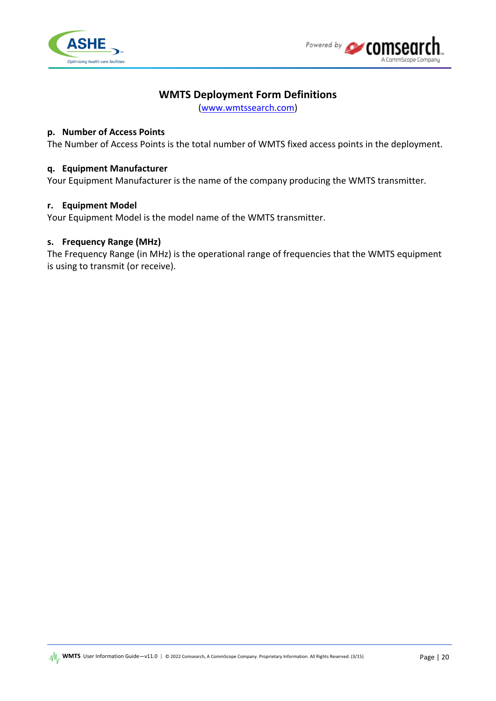



### **WMTS Deployment Form Definitions**

[\(www.wmtssearch.com\)](http://www.wmtssearch.com/)

### **p. Number of Access Points**

The Number of Access Points is the total number of WMTS fixed access points in the deployment.

#### **q. Equipment Manufacturer**

Your Equipment Manufacturer is the name of the company producing the WMTS transmitter.

#### **r. Equipment Model**

Your Equipment Model is the model name of the WMTS transmitter.

#### **s. Frequency Range (MHz)**

The Frequency Range (in MHz) is the operational range of frequencies that the WMTS equipment is using to transmit (or receive).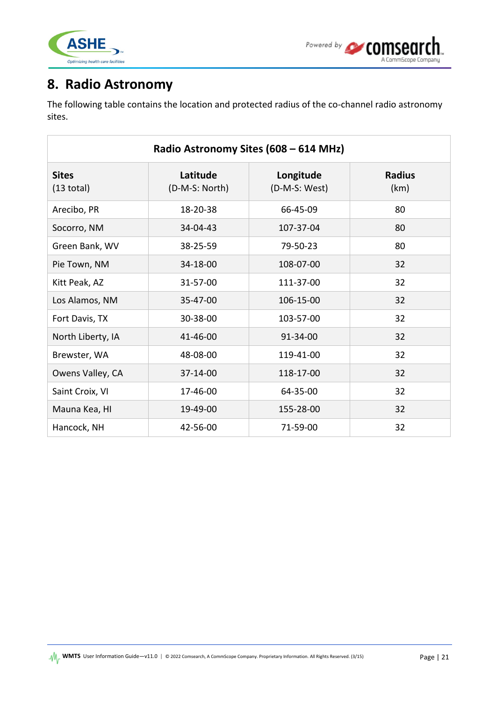

## <span id="page-20-0"></span>**8. Radio Astronomy**

The following table contains the location and protected radius of the co-channel radio astronomy sites.

| Radio Astronomy Sites (608 - 614 MHz) |                            |                            |                       |  |
|---------------------------------------|----------------------------|----------------------------|-----------------------|--|
| <b>Sites</b><br>$(13$ total)          | Latitude<br>(D-M-S: North) | Longitude<br>(D-M-S: West) | <b>Radius</b><br>(km) |  |
| Arecibo, PR                           | 18-20-38                   | 66-45-09                   | 80                    |  |
| Socorro, NM                           | 34-04-43                   | 107-37-04                  | 80                    |  |
| Green Bank, WV                        | 38-25-59                   | 79-50-23                   | 80                    |  |
| Pie Town, NM                          | 34-18-00                   | 108-07-00                  | 32                    |  |
| Kitt Peak, AZ                         | 31-57-00                   | 111-37-00                  | 32                    |  |
| Los Alamos, NM                        | 35-47-00                   | 106-15-00                  | 32                    |  |
| Fort Davis, TX                        | 30-38-00                   | 103-57-00                  | 32                    |  |
| North Liberty, IA                     | 41-46-00                   | 91-34-00                   | 32                    |  |
| Brewster, WA                          | 48-08-00                   | 119-41-00                  | 32                    |  |
| Owens Valley, CA                      | 37-14-00                   | 118-17-00                  | 32                    |  |
| Saint Croix, VI                       | 17-46-00                   | 64-35-00                   | 32                    |  |
| Mauna Kea, HI                         | 19-49-00                   | 155-28-00                  | 32                    |  |
| Hancock, NH                           | 42-56-00                   | 71-59-00                   | 32                    |  |